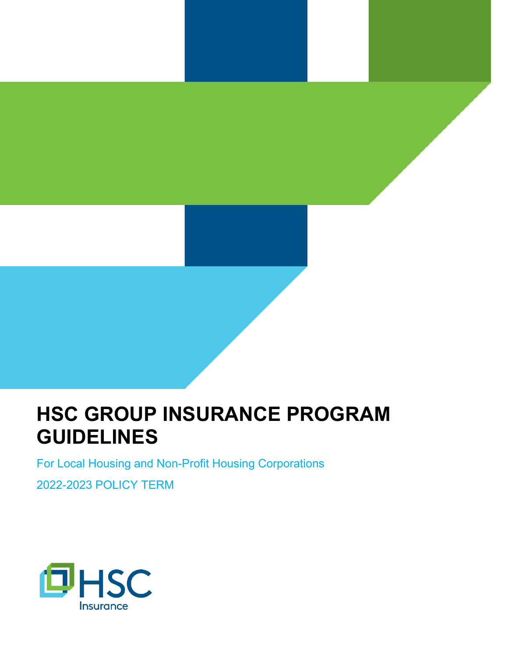## **HSC GROUP INSURANCE PROGRAM GUIDELINES**

For Local Housing and Non-Profit Housing Corporations

2022-2023 POLICY TERM

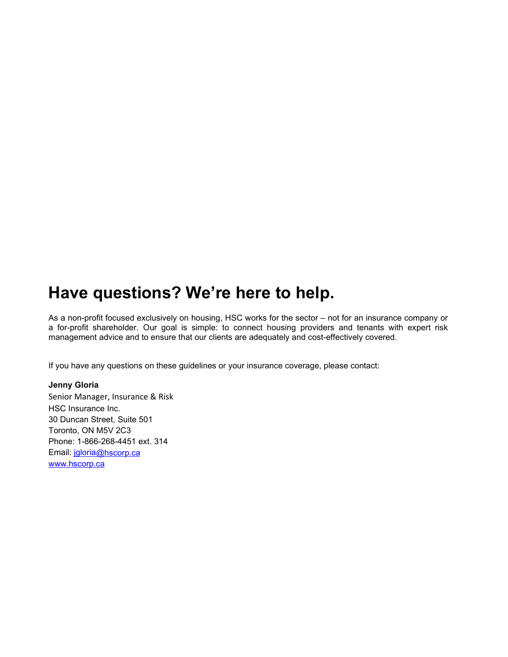## **Have questions? We're here to help.**

As a non-profit focused exclusively on housing, HSC works for the sector – not for an insurance company or a for-profit shareholder. Our goal is simple: to connect housing providers and tenants with expert risk management advice and to ensure that our clients are adequately and cost-effectively covered.

If you have any questions on these guidelines or your insurance coverage, please contact:

#### **Jenny Gloria**

Senior Manager, Insurance & Risk HSC Insurance Inc. 30 Duncan Street, Suite 501 Toronto, ON M5V 2C3 Phone: 1-866-268-4451 ext. 314 Email: [jgloria@](mailto:jgloria)hscorp.ca [www.hscorp.ca](http://www.hscorp.ca/)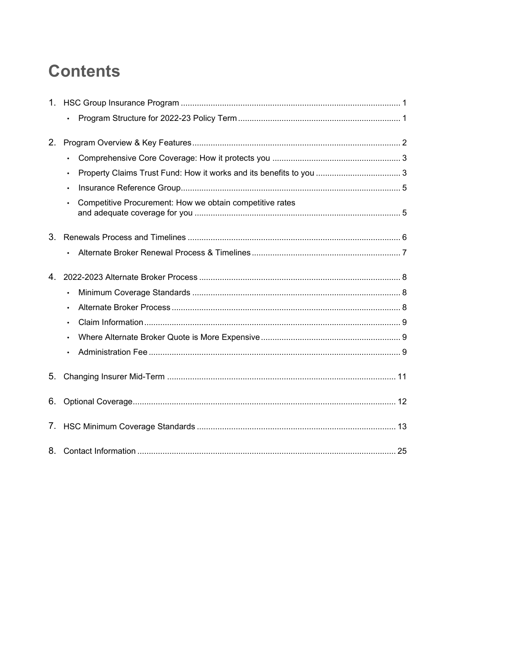## **Contents**

| $1_{\cdot}$ |                                                                       |
|-------------|-----------------------------------------------------------------------|
|             | $\bullet$                                                             |
| 2.          |                                                                       |
|             | $\bullet$                                                             |
|             | $\bullet$                                                             |
|             | $\bullet$                                                             |
|             | Competitive Procurement: How we obtain competitive rates<br>$\bullet$ |
| 3.          |                                                                       |
|             | $\bullet$                                                             |
| 4.          |                                                                       |
|             | $\bullet$                                                             |
|             | $\bullet$                                                             |
|             | $\bullet$                                                             |
|             |                                                                       |
|             | $\bullet$                                                             |
| 5.          |                                                                       |
| 6.          |                                                                       |
| 7.          |                                                                       |
|             |                                                                       |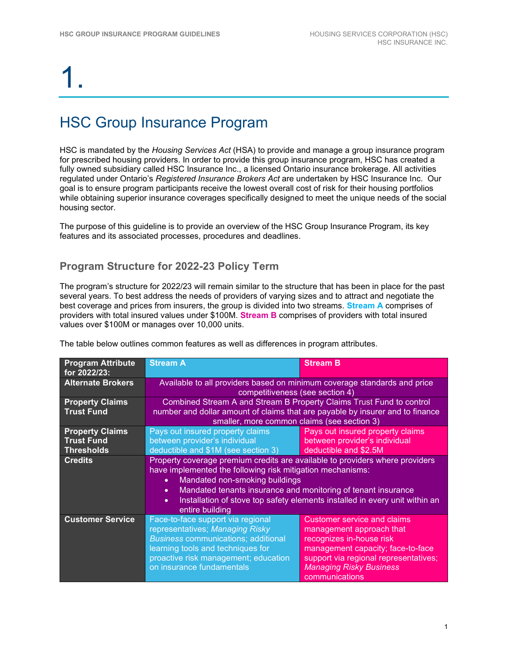## HSC Group Insurance Program

HSC is mandated by the *Housing Services Act* (HSA) to provide and manage a group insurance program for prescribed housing providers. In order to provide this group insurance program, HSC has created a fully owned subsidiary called HSC Insurance Inc., a licensed Ontario insurance brokerage. All activities regulated under Ontario's *Registered Insurance Brokers Act* are undertaken by HSC Insurance Inc. Our goal is to ensure program participants receive the lowest overall cost of risk for their housing portfolios while obtaining superior insurance coverages specifically designed to meet the unique needs of the social housing sector.

The purpose of this guideline is to provide an overview of the HSC Group Insurance Program, its key features and its associated processes, procedures and deadlines.

### **Program Structure for 2022-23 Policy Term**

The program's structure for 2022/23 will remain similar to the structure that has been in place for the past several years. To best address the needs of providers of varying sizes and to attract and negotiate the best coverage and prices from insurers, the group is divided into two streams. **Stream A** comprises of providers with total insured values under \$100M. **Stream B** comprises of providers with total insured values over \$100M or manages over 10,000 units.

| <b>Program Attribute</b><br>for 2022/23:                         | <b>Stream A</b>                                                                                                                                                                                                                                                                                                                                                                        | <b>Stream B</b>                                                                                                                                                                                                              |  |
|------------------------------------------------------------------|----------------------------------------------------------------------------------------------------------------------------------------------------------------------------------------------------------------------------------------------------------------------------------------------------------------------------------------------------------------------------------------|------------------------------------------------------------------------------------------------------------------------------------------------------------------------------------------------------------------------------|--|
| <b>Alternate Brokers</b>                                         | Available to all providers based on minimum coverage standards and price<br>competitiveness (see section 4)                                                                                                                                                                                                                                                                            |                                                                                                                                                                                                                              |  |
| <b>Property Claims</b><br><b>Trust Fund</b>                      | Combined Stream A and Stream B Property Claims Trust Fund to control<br>number and dollar amount of claims that are payable by insurer and to finance<br>smaller, more common claims (see section 3)                                                                                                                                                                                   |                                                                                                                                                                                                                              |  |
| <b>Property Claims</b><br><b>Trust Fund</b><br><b>Thresholds</b> | Pays out insured property claims<br>between provider's individual<br>deductible and \$1M (see section 3)                                                                                                                                                                                                                                                                               | Pays out insured property claims<br>between provider's individual<br>deductible and \$2.5M                                                                                                                                   |  |
| <b>Credits</b>                                                   | Property coverage premium credits are available to providers where providers<br>have implemented the following risk mitigation mechanisms:<br>Mandated non-smoking buildings<br>$\bullet$<br>Mandated tenants insurance and monitoring of tenant insurance<br>$\bullet$<br>Installation of stove top safety elements installed in every unit within an<br>$\bullet$<br>entire building |                                                                                                                                                                                                                              |  |
| <b>Customer Service</b>                                          | Face-to-face support via regional<br>representatives; Managing Risky<br><b>Business communications; additional</b><br>learning tools and techniques for<br>proactive risk management; education<br>on insurance fundamentals                                                                                                                                                           | <b>Customer service and claims</b><br>management approach that<br>recognizes in-house risk<br>management capacity; face-to-face<br>support via regional representatives;<br><b>Managing Risky Business</b><br>communications |  |

The table below outlines common features as well as differences in program attributes.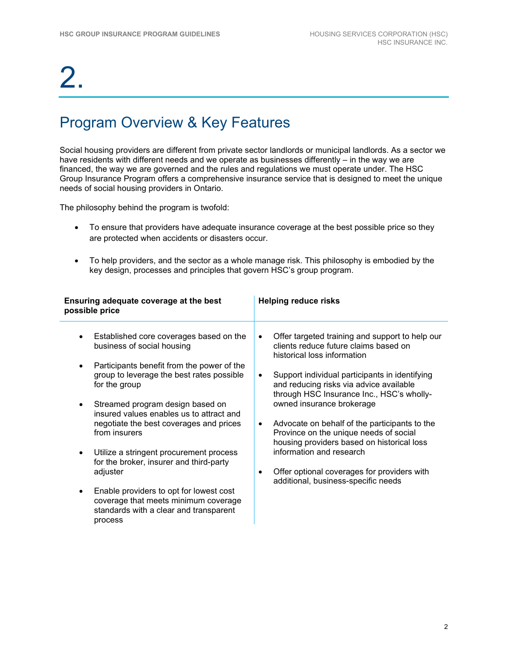## Program Overview & Key Features

Social housing providers are different from private sector landlords or municipal landlords. As a sector we have residents with different needs and we operate as businesses differently – in the way we are financed, the way we are governed and the rules and regulations we must operate under. The HSC Group Insurance Program offers a comprehensive insurance service that is designed to meet the unique needs of social housing providers in Ontario.

The philosophy behind the program is twofold:

- To ensure that providers have adequate insurance coverage at the best possible price so they are protected when accidents or disasters occur.
- To help providers, and the sector as a whole manage risk. This philosophy is embodied by the key design, processes and principles that govern HSC's group program.

| Ensuring adequate coverage at the best<br>possible price                                                                                                                                                                                                                                                                                                                                                                                                                                                                                                                                            | <b>Helping reduce risks</b>                                                                                                                                                                                                                                                                                                                                                                                                                                                                                                                                                                                   |  |
|-----------------------------------------------------------------------------------------------------------------------------------------------------------------------------------------------------------------------------------------------------------------------------------------------------------------------------------------------------------------------------------------------------------------------------------------------------------------------------------------------------------------------------------------------------------------------------------------------------|---------------------------------------------------------------------------------------------------------------------------------------------------------------------------------------------------------------------------------------------------------------------------------------------------------------------------------------------------------------------------------------------------------------------------------------------------------------------------------------------------------------------------------------------------------------------------------------------------------------|--|
| Established core coverages based on the<br>business of social housing<br>Participants benefit from the power of the<br>$\bullet$<br>group to leverage the best rates possible<br>for the group<br>Streamed program design based on<br>$\bullet$<br>insured values enables us to attract and<br>negotiate the best coverages and prices<br>from insurers<br>Utilize a stringent procurement process<br>for the broker, insurer and third-party<br>adjuster<br>Enable providers to opt for lowest cost<br>$\bullet$<br>coverage that meets minimum coverage<br>standards with a clear and transparent | Offer targeted training and support to help our<br>$\bullet$<br>clients reduce future claims based on<br>historical loss information<br>Support individual participants in identifying<br>$\bullet$<br>and reducing risks via advice available<br>through HSC Insurance Inc., HSC's wholly-<br>owned insurance brokerage<br>Advocate on behalf of the participants to the<br>$\bullet$<br>Province on the unique needs of social<br>housing providers based on historical loss<br>information and research<br>Offer optional coverages for providers with<br>$\bullet$<br>additional, business-specific needs |  |
| process                                                                                                                                                                                                                                                                                                                                                                                                                                                                                                                                                                                             |                                                                                                                                                                                                                                                                                                                                                                                                                                                                                                                                                                                                               |  |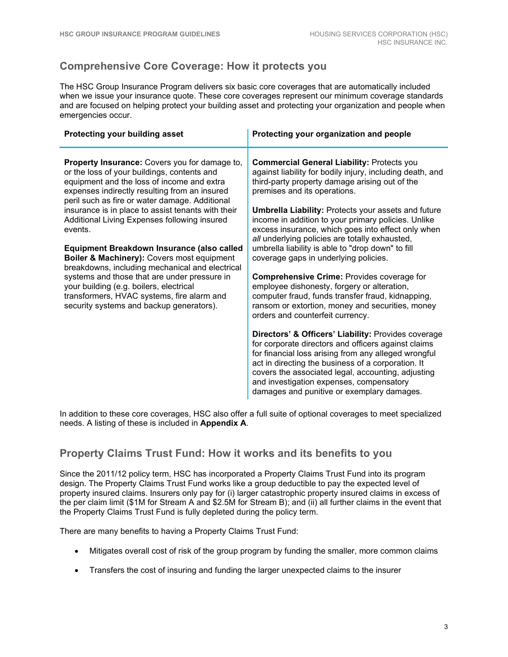### **Comprehensive Core Coverage: How it protects you**

The HSC Group Insurance Program delivers six basic core coverages that are automatically included when we issue your insurance quote. These core coverages represent our minimum coverage standards and are focused on helping protect your building asset and protecting your organization and people when emergencies occur.

| Protecting your building asset                                                                                                                                                                                                                | Protecting your organization and people                                                                                                                                                                                                                                                                                                                                  |
|-----------------------------------------------------------------------------------------------------------------------------------------------------------------------------------------------------------------------------------------------|--------------------------------------------------------------------------------------------------------------------------------------------------------------------------------------------------------------------------------------------------------------------------------------------------------------------------------------------------------------------------|
| Property Insurance: Covers you for damage to,<br>or the loss of your buildings, contents and<br>equipment and the loss of income and extra<br>expenses indirectly resulting from an insured<br>peril such as fire or water damage. Additional | <b>Commercial General Liability: Protects you</b><br>against liability for bodily injury, including death, and<br>third-party property damage arising out of the<br>premises and its operations.                                                                                                                                                                         |
| insurance is in place to assist tenants with their<br>Additional Living Expenses following insured<br>events.                                                                                                                                 | <b>Umbrella Liability: Protects your assets and future</b><br>income in addition to your primary policies. Unlike<br>excess insurance, which goes into effect only when<br>all underlying policies are totally exhausted,                                                                                                                                                |
| Equipment Breakdown Insurance (also called<br>Boiler & Machinery): Covers most equipment<br>breakdowns, including mechanical and electrical                                                                                                   | umbrella liability is able to "drop down" to fill<br>coverage gaps in underlying policies.                                                                                                                                                                                                                                                                               |
| systems and those that are under pressure in<br>your building (e.g. boilers, electrical<br>transformers, HVAC systems, fire alarm and<br>security systems and backup generators).                                                             | <b>Comprehensive Crime: Provides coverage for</b><br>employee dishonesty, forgery or alteration,<br>computer fraud, funds transfer fraud, kidnapping,<br>ransom or extortion, money and securities, money<br>orders and counterfeit currency.                                                                                                                            |
|                                                                                                                                                                                                                                               | Directors' & Officers' Liability: Provides coverage<br>for corporate directors and officers against claims<br>for financial loss arising from any alleged wrongful<br>act in directing the business of a corporation. It<br>covers the associated legal, accounting, adjusting<br>and investigation expenses, compensatory<br>damages and punitive or exemplary damages. |

In addition to these core coverages, HSC also offer a full suite of optional coverages to meet specialized needs. A listing of these is included in **Appendix A**.

#### **Property Claims Trust Fund: How it works and its benefits to you**

Since the 2011/12 policy term, HSC has incorporated a Property Claims Trust Fund into its program design. The Property Claims Trust Fund works like a group deductible to pay the expected level of property insured claims. Insurers only pay for (i) larger catastrophic property insured claims in excess of the per claim limit (\$1M for Stream A and \$2.5M for Stream B); and (ii) all further claims in the event that the Property Claims Trust Fund is fully depleted during the policy term.

There are many benefits to having a Property Claims Trust Fund:

- Mitigates overall cost of risk of the group program by funding the smaller, more common claims
- Transfers the cost of insuring and funding the larger unexpected claims to the insurer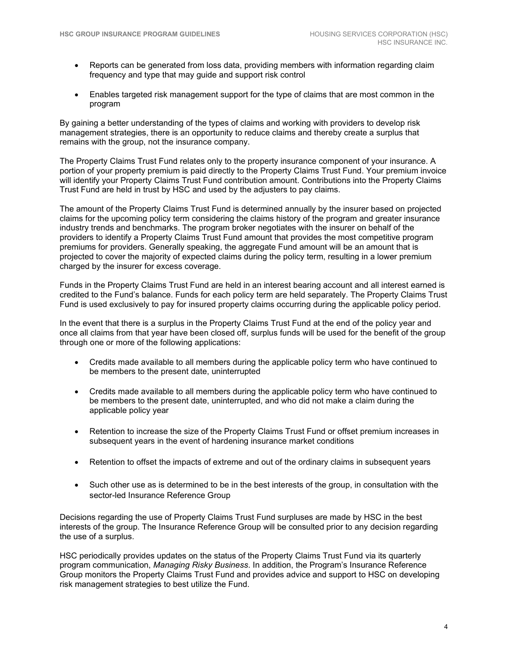- Reports can be generated from loss data, providing members with information regarding claim frequency and type that may guide and support risk control
- Enables targeted risk management support for the type of claims that are most common in the program

By gaining a better understanding of the types of claims and working with providers to develop risk management strategies, there is an opportunity to reduce claims and thereby create a surplus that remains with the group, not the insurance company.

The Property Claims Trust Fund relates only to the property insurance component of your insurance. A portion of your property premium is paid directly to the Property Claims Trust Fund. Your premium invoice will identify your Property Claims Trust Fund contribution amount. Contributions into the Property Claims Trust Fund are held in trust by HSC and used by the adjusters to pay claims.

The amount of the Property Claims Trust Fund is determined annually by the insurer based on projected claims for the upcoming policy term considering the claims history of the program and greater insurance industry trends and benchmarks. The program broker negotiates with the insurer on behalf of the providers to identify a Property Claims Trust Fund amount that provides the most competitive program premiums for providers. Generally speaking, the aggregate Fund amount will be an amount that is projected to cover the majority of expected claims during the policy term, resulting in a lower premium charged by the insurer for excess coverage.

Funds in the Property Claims Trust Fund are held in an interest bearing account and all interest earned is credited to the Fund's balance. Funds for each policy term are held separately. The Property Claims Trust Fund is used exclusively to pay for insured property claims occurring during the applicable policy period.

In the event that there is a surplus in the Property Claims Trust Fund at the end of the policy year and once all claims from that year have been closed off, surplus funds will be used for the benefit of the group through one or more of the following applications:

- Credits made available to all members during the applicable policy term who have continued to be members to the present date, uninterrupted
- Credits made available to all members during the applicable policy term who have continued to be members to the present date, uninterrupted, and who did not make a claim during the applicable policy year
- Retention to increase the size of the Property Claims Trust Fund or offset premium increases in subsequent years in the event of hardening insurance market conditions
- Retention to offset the impacts of extreme and out of the ordinary claims in subsequent years
- Such other use as is determined to be in the best interests of the group, in consultation with the sector-led Insurance Reference Group

Decisions regarding the use of Property Claims Trust Fund surpluses are made by HSC in the best interests of the group. The Insurance Reference Group will be consulted prior to any decision regarding the use of a surplus.

HSC periodically provides updates on the status of the Property Claims Trust Fund via its quarterly program communication, *Managing Risky Business*. In addition, the Program's Insurance Reference Group monitors the Property Claims Trust Fund and provides advice and support to HSC on developing risk management strategies to best utilize the Fund.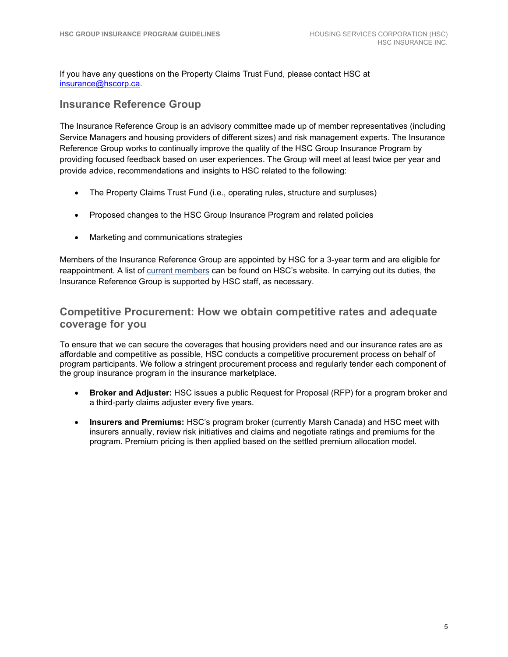If you have any questions on the Property Claims Trust Fund, please contact HSC at [insurance@hscorp.ca.](mailto:insurance@hscorp.ca)

#### **Insurance Reference Group**

The Insurance Reference Group is an advisory committee made up of member representatives (including Service Managers and housing providers of different sizes) and risk management experts. The Insurance Reference Group works to continually improve the quality of the HSC Group Insurance Program by providing focused feedback based on user experiences. The Group will meet at least twice per year and provide advice, recommendations and insights to HSC related to the following:

- The Property Claims Trust Fund (i.e., operating rules, structure and surpluses)
- Proposed changes to the HSC Group Insurance Program and related policies
- Marketing and communications strategies

Members of the Insurance Reference Group are appointed by HSC for a 3-year term and are eligible for reappointment. A list of current members can be found on HSC's website. In carrying out its duties, the Insurance Reference Group is supported by HSC staff, as necessary.

#### **Competitive Procurement: How we obtain competitive rates and adequate coverage for you**

To ensure that we can secure the coverages that housing providers need and our insurance rates are as affordable and competitive as possible, HSC conducts a competitive procurement process on behalf of program participants. We follow a stringent procurement process and regularly tender each component of the group insurance program in the insurance marketplace.

- **Broker and Adjuster:** HSC issues a public Request for Proposal (RFP) for a program broker and a third‐party claims adjuster every five years.
- **Insurers and Premiums:** HSC's program broker (currently Marsh Canada) and HSC meet with insurers annually, review risk initiatives and claims and negotiate ratings and premiums for the program. Premium pricing is then applied based on the settled premium allocation model.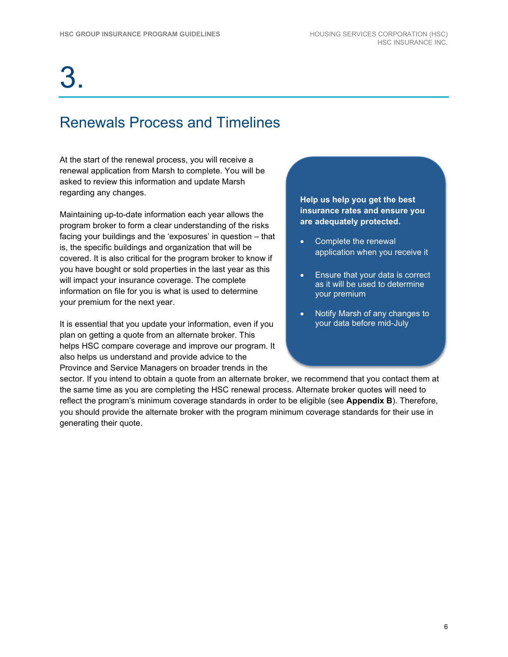## Renewals Process and Timelines

At the start of the renewal process, you will receive a renewal application from Marsh to complete. You will be asked to review this information and update Marsh regarding any changes.

Maintaining up-to-date information each year allows the program broker to form a clear understanding of the risks facing your buildings and the 'exposures' in question – that is, the specific buildings and organization that will be covered. It is also critical for the program broker to know if you have bought or sold properties in the last year as this will impact your insurance coverage. The complete information on file for you is what is used to determine your premium for the next year.

It is essential that you update your information, even if you plan on getting a quote from an alternate broker. This helps HSC compare coverage and improve our program. It also helps us understand and provide advice to the Province and Service Managers on broader trends in the

#### **Help us help you get the best insurance rates and ensure you are adequately protected.**

- Complete the renewal application when you receive it
- Ensure that your data is correct as it will be used to determine your premium
- Notify Marsh of any changes to your data before mid-July

sector. If you intend to obtain a quote from an alternate broker, we recommend that you contact them at the same time as you are completing the HSC renewal process. Alternate broker quotes will need to reflect the program's minimum coverage standards in order to be eligible (see **Appendix B**). Therefore, you should provide the alternate broker with the program minimum coverage standards for their use in generating their quote.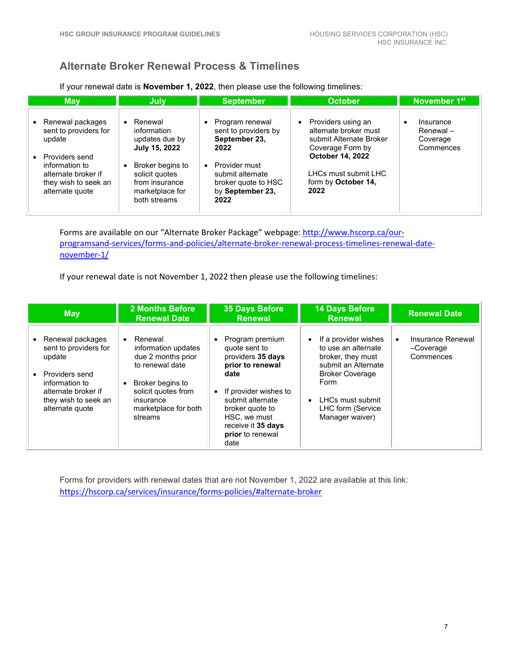### **Alternate Broker Renewal Process & Timelines**

If your renewal date is **November 1, 2022**, then please use the following timelines:

| <b>May</b>                                                                                                                               | July                                                                                            | <b>September</b>                                                                                                                | <b>October</b>                                                                                                                                             | November 1 <sup>st</sup>                                    |
|------------------------------------------------------------------------------------------------------------------------------------------|-------------------------------------------------------------------------------------------------|---------------------------------------------------------------------------------------------------------------------------------|------------------------------------------------------------------------------------------------------------------------------------------------------------|-------------------------------------------------------------|
| Renewal packages<br>$\bullet$<br>sent to providers for<br>update<br>Providers send<br>$\bullet$<br>information to<br>alternate broker if | Renewal<br>information<br>updates due by<br>July 15, 2022<br>Broker begins to<br>solicit quotes | Program renewal<br>$\bullet$<br>sent to providers by<br>September 23,<br>2022<br>Provider must<br>$\bullet$<br>submit alternate | Providers using an<br>$\bullet$<br>alternate broker must<br>submit Alternate Broker<br>Coverage Form by<br><b>October 14, 2022</b><br>LHCs must submit LHC | Insurance<br>$\bullet$<br>Renewal-<br>Coverage<br>Commences |
| they wish to seek an<br>alternate quote                                                                                                  | from insurance<br>marketplace for<br>both streams                                               | broker quote to HSC<br>by September 23,<br>2022                                                                                 | form by October 14,<br>2022                                                                                                                                |                                                             |

Forms are available on our "Alternate Broker Package" webpage: [http://www.hscorp.ca/our](http://www.hscorp.ca/our-programsand-services/forms-and-policies/alternate-broker-renewal-process-timelines-renewal-date-november-1/)[programsand-services/forms-and-policies/alternate-broker-renewal-process-timelines-renewal-date](http://www.hscorp.ca/our-programsand-services/forms-and-policies/alternate-broker-renewal-process-timelines-renewal-date-november-1/)[november-1/](http://www.hscorp.ca/our-programsand-services/forms-and-policies/alternate-broker-renewal-process-timelines-renewal-date-november-1/)

If your renewal date is not November 1, 2022 then please use the following timelines:

| <b>May</b>                                                                                                                                                | <b>2 Months Before</b><br><b>Renewal Date</b>                                                                                                                                   | <b>35 Days Before</b><br><b>Renewal</b>                                                                                                                                                                                          | <b>14 Days Before</b><br><b>Renewal</b>                                                                                                                                                                         | <b>Renewal Date</b>                         |
|-----------------------------------------------------------------------------------------------------------------------------------------------------------|---------------------------------------------------------------------------------------------------------------------------------------------------------------------------------|----------------------------------------------------------------------------------------------------------------------------------------------------------------------------------------------------------------------------------|-----------------------------------------------------------------------------------------------------------------------------------------------------------------------------------------------------------------|---------------------------------------------|
| Renewal packages<br>sent to providers for<br>update<br>Providers send<br>information to<br>alternate broker if<br>they wish to seek an<br>alternate quote | Renewal<br>$\bullet$<br>information updates<br>due 2 months prior<br>to renewal date<br>Broker begins to<br>solicit quotes from<br>insurance<br>marketplace for both<br>streams | Program premium<br>quote sent to<br>providers 35 days<br>prior to renewal<br>date<br>If provider wishes to<br>$\bullet$<br>submit alternate<br>broker quote to<br>HSC, we must<br>receive it 35 days<br>prior to renewal<br>date | If a provider wishes<br>$\bullet$<br>to use an alternate<br>broker, they must<br>submit an Alternate<br><b>Broker Coverage</b><br>Form<br>LHCs must submit<br>$\bullet$<br>LHC form (Service<br>Manager waiver) | Insurance Renewal<br>-Coverage<br>Commences |

Forms for providers with renewal dates that are not November 1, 2022 are available at this link: <https://hscorp.ca/services/insurance/forms-policies/#alternate-broker>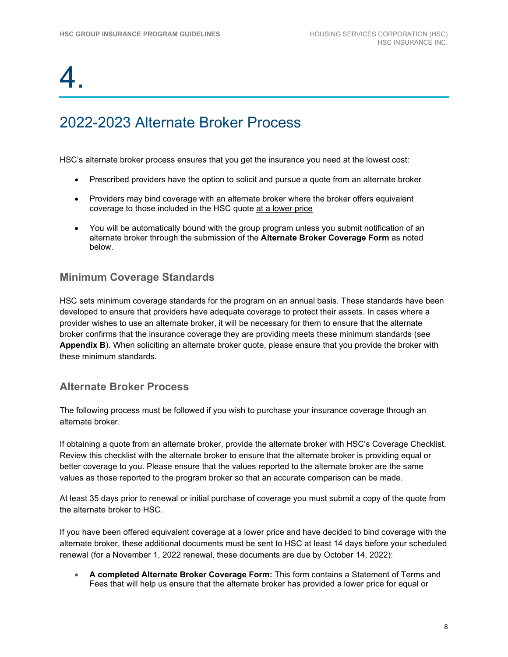## 2022-2023 Alternate Broker Process

HSC's alternate broker process ensures that you get the insurance you need at the lowest cost:

- Prescribed providers have the option to solicit and pursue a quote from an alternate broker
- Providers may bind coverage with an alternate broker where the broker offers equivalent coverage to those included in the HSC quote at a lower price
- You will be automatically bound with the group program unless you submit notification of an alternate broker through the submission of the **Alternate Broker Coverage Form** as noted below.

### **Minimum Coverage Standards**

HSC sets minimum coverage standards for the program on an annual basis. These standards have been developed to ensure that providers have adequate coverage to protect their assets. In cases where a provider wishes to use an alternate broker, it will be necessary for them to ensure that the alternate broker confirms that the insurance coverage they are providing meets these minimum standards (see **Appendix B**). When soliciting an alternate broker quote, please ensure that you provide the broker with these minimum standards.

### **Alternate Broker Process**

The following process must be followed if you wish to purchase your insurance coverage through an alternate broker.

If obtaining a quote from an alternate broker, provide the alternate broker with HSC's Coverage Checklist. Review this checklist with the alternate broker to ensure that the alternate broker is providing equal or better coverage to you. Please ensure that the values reported to the alternate broker are the same values as those reported to the program broker so that an accurate comparison can be made.

At least 35 days prior to renewal or initial purchase of coverage you must submit a copy of the quote from the alternate broker to HSC.

If you have been offered equivalent coverage at a lower price and have decided to bind coverage with the alternate broker, these additional documents must be sent to HSC at least 14 days before your scheduled renewal (for a November 1, 2022 renewal, these documents are due by October 14, 2022):

• **A completed Alternate Broker Coverage Form:** This form contains a Statement of Terms and Fees that will help us ensure that the alternate broker has provided a lower price for equal or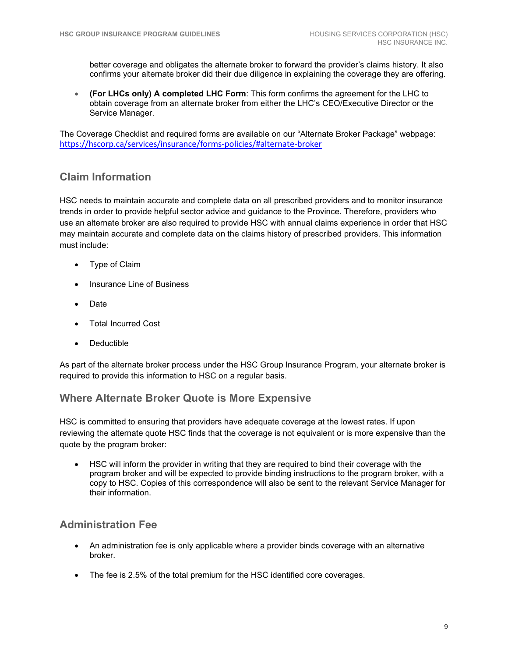better coverage and obligates the alternate broker to forward the provider's claims history. It also confirms your alternate broker did their due diligence in explaining the coverage they are offering.

• **(For LHCs only) A completed LHC Form**: This form confirms the agreement for the LHC to obtain coverage from an alternate broker from either the LHC's CEO/Executive Director or the Service Manager.

The Coverage Checklist and required forms are available on our "Alternate Broker Package" webpage: <https://hscorp.ca/services/insurance/forms-policies/#alternate-broker>

### **Claim Information**

HSC needs to maintain accurate and complete data on all prescribed providers and to monitor insurance trends in order to provide helpful sector advice and guidance to the Province. Therefore, providers who use an alternate broker are also required to provide HSC with annual claims experience in order that HSC may maintain accurate and complete data on the claims history of prescribed providers. This information must include:

- Type of Claim
- Insurance Line of Business
- Date
- Total Incurred Cost
- **Deductible**

As part of the alternate broker process under the HSC Group Insurance Program, your alternate broker is required to provide this information to HSC on a regular basis.

#### **Where Alternate Broker Quote is More Expensive**

HSC is committed to ensuring that providers have adequate coverage at the lowest rates. If upon reviewing the alternate quote HSC finds that the coverage is not equivalent or is more expensive than the quote by the program broker:

• HSC will inform the provider in writing that they are required to bind their coverage with the program broker and will be expected to provide binding instructions to the program broker, with a copy to HSC. Copies of this correspondence will also be sent to the relevant Service Manager for their information.

### **Administration Fee**

- An administration fee is only applicable where a provider binds coverage with an alternative broker.
- The fee is 2.5% of the total premium for the HSC identified core coverages.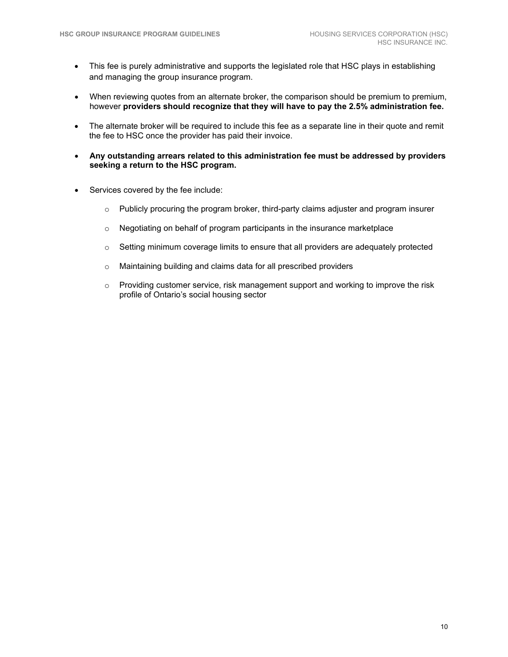- This fee is purely administrative and supports the legislated role that HSC plays in establishing and managing the group insurance program.
- When reviewing quotes from an alternate broker, the comparison should be premium to premium. however **providers should recognize that they will have to pay the 2.5% administration fee.**
- The alternate broker will be required to include this fee as a separate line in their quote and remit the fee to HSC once the provider has paid their invoice.
- **Any outstanding arrears related to this administration fee must be addressed by providers seeking a return to the HSC program.**
- Services covered by the fee include:
	- $\circ$  Publicly procuring the program broker, third-party claims adjuster and program insurer
	- o Negotiating on behalf of program participants in the insurance marketplace
	- $\circ$  Setting minimum coverage limits to ensure that all providers are adequately protected
	- o Maintaining building and claims data for all prescribed providers
	- $\circ$  Providing customer service, risk management support and working to improve the risk profile of Ontario's social housing sector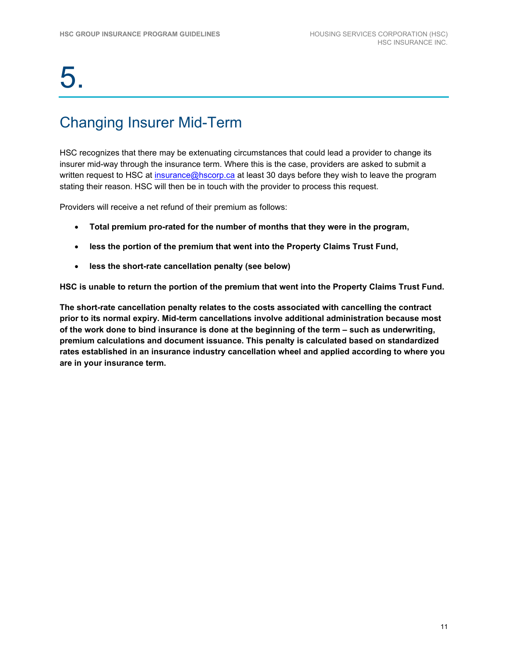## Changing Insurer Mid-Term

HSC recognizes that there may be extenuating circumstances that could lead a provider to change its insurer mid-way through the insurance term. Where this is the case, providers are asked to submit a written request to HSC at [insurance@hscorp.ca](mailto:insurance@hscorp.ca) at least 30 days before they wish to leave the program stating their reason. HSC will then be in touch with the provider to process this request.

Providers will receive a net refund of their premium as follows:

- **Total premium pro-rated for the number of months that they were in the program,**
- **less the portion of the premium that went into the Property Claims Trust Fund,**
- **less the short-rate cancellation penalty (see below)**

**HSC is unable to return the portion of the premium that went into the Property Claims Trust Fund.** 

**The short-rate cancellation penalty relates to the costs associated with cancelling the contract prior to its normal expiry. Mid-term cancellations involve additional administration because most of the work done to bind insurance is done at the beginning of the term – such as underwriting, premium calculations and document issuance. This penalty is calculated based on standardized rates established in an insurance industry cancellation wheel and applied according to where you are in your insurance term.**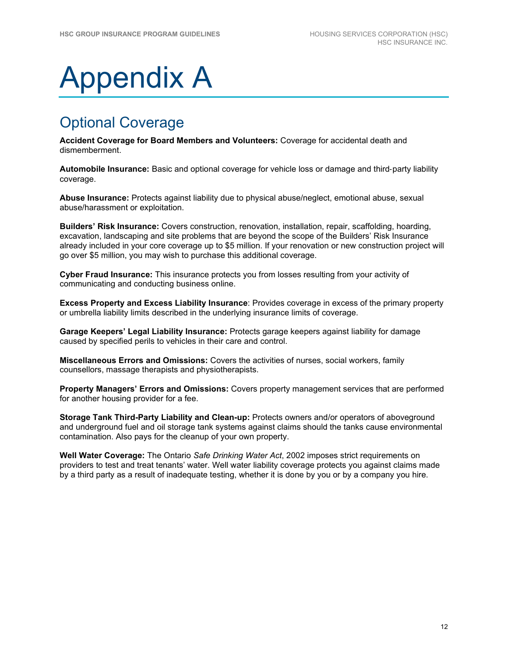# Appendix A

## Optional Coverage

**Accident Coverage for Board Members and Volunteers:** Coverage for accidental death and dismemberment.

**Automobile Insurance:** Basic and optional coverage for vehicle loss or damage and third‐party liability coverage.

**Abuse Insurance:** Protects against liability due to physical abuse/neglect, emotional abuse, sexual abuse/harassment or exploitation.

**Builders' Risk Insurance:** Covers construction, renovation, installation, repair, scaffolding, hoarding, excavation, landscaping and site problems that are beyond the scope of the Builders' Risk Insurance already included in your core coverage up to \$5 million. If your renovation or new construction project will go over \$5 million, you may wish to purchase this additional coverage.

**Cyber Fraud Insurance:** This insurance protects you from losses resulting from your activity of communicating and conducting business online.

**Excess Property and Excess Liability Insurance**: Provides coverage in excess of the primary property or umbrella liability limits described in the underlying insurance limits of coverage.

**Garage Keepers' Legal Liability Insurance:** Protects garage keepers against liability for damage caused by specified perils to vehicles in their care and control.

**Miscellaneous Errors and Omissions:** Covers the activities of nurses, social workers, family counsellors, massage therapists and physiotherapists.

**Property Managers' Errors and Omissions:** Covers property management services that are performed for another housing provider for a fee.

**Storage Tank Third-Party Liability and Clean-up:** Protects owners and/or operators of aboveground and underground fuel and oil storage tank systems against claims should the tanks cause environmental contamination. Also pays for the cleanup of your own property.

**Well Water Coverage:** The Ontario *Safe Drinking Water Act*, 2002 imposes strict requirements on providers to test and treat tenants' water. Well water liability coverage protects you against claims made by a third party as a result of inadequate testing, whether it is done by you or by a company you hire.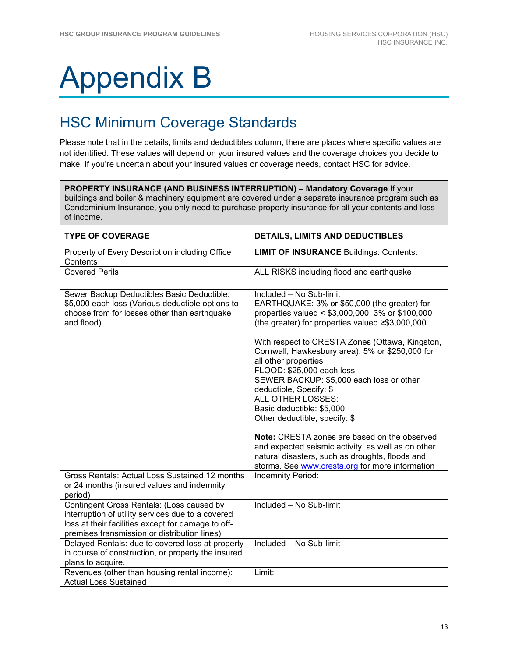# Appendix B

## HSC Minimum Coverage Standards

Please note that in the details, limits and deductibles column, there are places where specific values are not identified. These values will depend on your insured values and the coverage choices you decide to make. If you're uncertain about your insured values or coverage needs, contact HSC for advice.

**PROPERTY INSURANCE (AND BUSINESS INTERRUPTION) – Mandatory Coverage** If your buildings and boiler & machinery equipment are covered under a separate insurance program such as Condominium Insurance, you only need to purchase property insurance for all your contents and loss of income.

| <b>TYPE OF COVERAGE</b>                                                                                                                                                                              | <b>DETAILS, LIMITS AND DEDUCTIBLES</b>                                                                                                                                                                                         |
|------------------------------------------------------------------------------------------------------------------------------------------------------------------------------------------------------|--------------------------------------------------------------------------------------------------------------------------------------------------------------------------------------------------------------------------------|
| Property of Every Description including Office<br>Contents                                                                                                                                           | <b>LIMIT OF INSURANCE Buildings: Contents:</b>                                                                                                                                                                                 |
| <b>Covered Perils</b>                                                                                                                                                                                | ALL RISKS including flood and earthquake                                                                                                                                                                                       |
| Sewer Backup Deductibles Basic Deductible:<br>\$5,000 each loss (Various deductible options to<br>choose from for losses other than earthquake<br>and flood)                                         | Included - No Sub-limit<br>EARTHQUAKE: 3% or \$50,000 (the greater) for<br>properties valued < \$3,000,000; 3% or \$100,000<br>(the greater) for properties valued $\geq$ \$3,000,000                                          |
|                                                                                                                                                                                                      | With respect to CRESTA Zones (Ottawa, Kingston,<br>Cornwall, Hawkesbury area): 5% or \$250,000 for<br>all other properties<br>FLOOD: \$25,000 each loss<br>SEWER BACKUP: \$5,000 each loss or other<br>deductible, Specify: \$ |
|                                                                                                                                                                                                      | <b>ALL OTHER LOSSES:</b><br>Basic deductible: \$5,000<br>Other deductible, specify: \$                                                                                                                                         |
|                                                                                                                                                                                                      | <b>Note:</b> CRESTA zones are based on the observed<br>and expected seismic activity, as well as on other<br>natural disasters, such as droughts, floods and<br>storms. See <b>www.cresta.org</b> for more information         |
| Gross Rentals: Actual Loss Sustained 12 months<br>or 24 months (insured values and indemnity<br>period)                                                                                              | Indemnity Period:                                                                                                                                                                                                              |
| Contingent Gross Rentals: (Loss caused by<br>interruption of utility services due to a covered<br>loss at their facilities except for damage to off-<br>premises transmission or distribution lines) | Included - No Sub-limit                                                                                                                                                                                                        |
| Delayed Rentals: due to covered loss at property<br>in course of construction, or property the insured<br>plans to acquire.                                                                          | Included - No Sub-limit                                                                                                                                                                                                        |
| Revenues (other than housing rental income):<br><b>Actual Loss Sustained</b>                                                                                                                         | Limit:                                                                                                                                                                                                                         |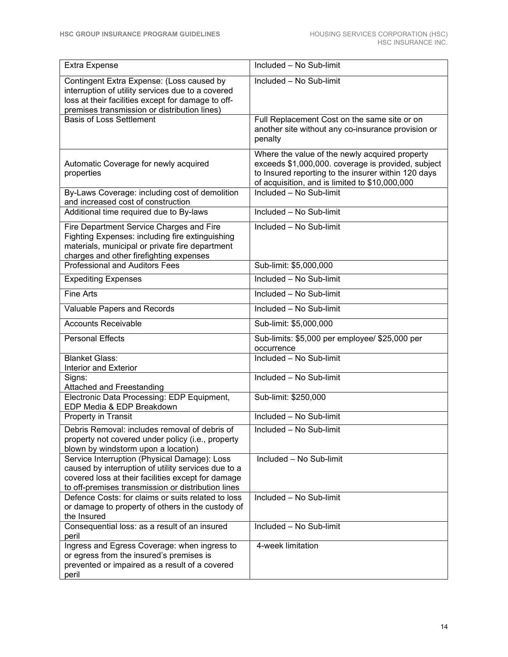| Extra Expense                                                                                                                                                                                                   | Included - No Sub-limit                                                                                                                                                                                       |
|-----------------------------------------------------------------------------------------------------------------------------------------------------------------------------------------------------------------|---------------------------------------------------------------------------------------------------------------------------------------------------------------------------------------------------------------|
| Contingent Extra Expense: (Loss caused by<br>interruption of utility services due to a covered<br>loss at their facilities except for damage to off-<br>premises transmission or distribution lines)            | Included - No Sub-limit                                                                                                                                                                                       |
| <b>Basis of Loss Settlement</b>                                                                                                                                                                                 | Full Replacement Cost on the same site or on<br>another site without any co-insurance provision or<br>penalty                                                                                                 |
| Automatic Coverage for newly acquired<br>properties                                                                                                                                                             | Where the value of the newly acquired property<br>exceeds \$1,000,000. coverage is provided, subject<br>to Insured reporting to the insurer within 120 days<br>of acquisition, and is limited to \$10,000,000 |
| By-Laws Coverage: including cost of demolition<br>and increased cost of construction                                                                                                                            | Included - No Sub-limit                                                                                                                                                                                       |
| Additional time required due to By-laws                                                                                                                                                                         | Included - No Sub-limit                                                                                                                                                                                       |
| Fire Department Service Charges and Fire<br>Fighting Expenses: including fire extinguishing<br>materials, municipal or private fire department<br>charges and other firefighting expenses                       | Included - No Sub-limit                                                                                                                                                                                       |
| Professional and Auditors Fees                                                                                                                                                                                  | Sub-limit: \$5,000,000                                                                                                                                                                                        |
| <b>Expediting Expenses</b>                                                                                                                                                                                      | Included - No Sub-limit                                                                                                                                                                                       |
| <b>Fine Arts</b>                                                                                                                                                                                                | Included - No Sub-limit                                                                                                                                                                                       |
| Valuable Papers and Records                                                                                                                                                                                     | Included - No Sub-limit                                                                                                                                                                                       |
| <b>Accounts Receivable</b>                                                                                                                                                                                      | Sub-limit: \$5,000,000                                                                                                                                                                                        |
| <b>Personal Effects</b>                                                                                                                                                                                         | Sub-limits: \$5,000 per employee/ \$25,000 per<br>occurrence                                                                                                                                                  |
| <b>Blanket Glass:</b><br>Interior and Exterior                                                                                                                                                                  | Included - No Sub-limit                                                                                                                                                                                       |
| Signs:                                                                                                                                                                                                          | Included - No Sub-limit                                                                                                                                                                                       |
| Attached and Freestanding<br>Electronic Data Processing: EDP Equipment,                                                                                                                                         | Sub-limit: \$250,000                                                                                                                                                                                          |
| EDP Media & EDP Breakdown                                                                                                                                                                                       | Included - No Sub-limit                                                                                                                                                                                       |
| Property in Transit                                                                                                                                                                                             |                                                                                                                                                                                                               |
| Debris Removal: includes removal of debris of<br>property not covered under policy (i.e., property<br>blown by windstorm upon a location)                                                                       | Included - No Sub-limit                                                                                                                                                                                       |
| Service Interruption (Physical Damage): Loss<br>caused by interruption of utility services due to a<br>covered loss at their facilities except for damage<br>to off-premises transmission or distribution lines | Included $-$ No Sub-limit                                                                                                                                                                                     |
| Defence Costs: for claims or suits related to loss<br>or damage to property of others in the custody of<br>the Insured                                                                                          | Included - No Sub-limit                                                                                                                                                                                       |
| Consequential loss: as a result of an insured<br>peril                                                                                                                                                          | Included - No Sub-limit                                                                                                                                                                                       |
| Ingress and Egress Coverage: when ingress to<br>or egress from the insured's premises is<br>prevented or impaired as a result of a covered<br>peril                                                             | 4-week limitation                                                                                                                                                                                             |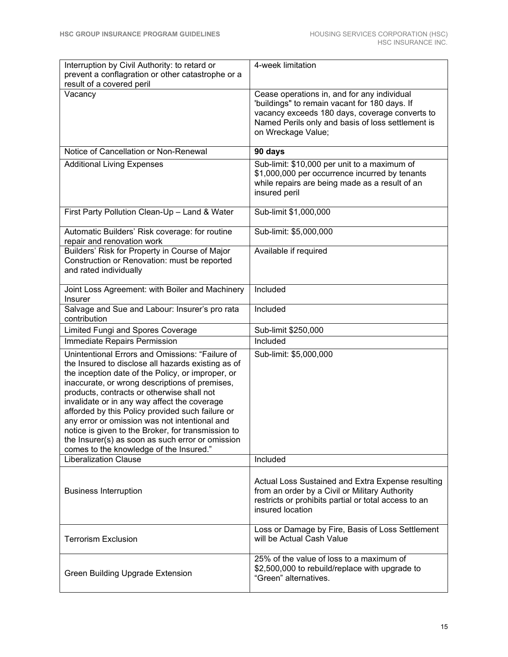| Interruption by Civil Authority: to retard or<br>prevent a conflagration or other catastrophe or a                                                                                                                                                                                                                                                                                                                                                                                                                                                                   | 4-week limitation                                                                                                                                                                                                         |
|----------------------------------------------------------------------------------------------------------------------------------------------------------------------------------------------------------------------------------------------------------------------------------------------------------------------------------------------------------------------------------------------------------------------------------------------------------------------------------------------------------------------------------------------------------------------|---------------------------------------------------------------------------------------------------------------------------------------------------------------------------------------------------------------------------|
| result of a covered peril                                                                                                                                                                                                                                                                                                                                                                                                                                                                                                                                            |                                                                                                                                                                                                                           |
| Vacancy                                                                                                                                                                                                                                                                                                                                                                                                                                                                                                                                                              | Cease operations in, and for any individual<br>'buildings" to remain vacant for 180 days. If<br>vacancy exceeds 180 days, coverage converts to<br>Named Perils only and basis of loss settlement is<br>on Wreckage Value; |
| Notice of Cancellation or Non-Renewal                                                                                                                                                                                                                                                                                                                                                                                                                                                                                                                                | 90 days                                                                                                                                                                                                                   |
| <b>Additional Living Expenses</b>                                                                                                                                                                                                                                                                                                                                                                                                                                                                                                                                    | Sub-limit: \$10,000 per unit to a maximum of<br>\$1,000,000 per occurrence incurred by tenants<br>while repairs are being made as a result of an<br>insured peril                                                         |
| First Party Pollution Clean-Up - Land & Water                                                                                                                                                                                                                                                                                                                                                                                                                                                                                                                        | Sub-limit \$1,000,000                                                                                                                                                                                                     |
| Automatic Builders' Risk coverage: for routine<br>repair and renovation work                                                                                                                                                                                                                                                                                                                                                                                                                                                                                         | Sub-limit: \$5,000,000                                                                                                                                                                                                    |
| Builders' Risk for Property in Course of Major<br>Construction or Renovation: must be reported<br>and rated individually                                                                                                                                                                                                                                                                                                                                                                                                                                             | Available if required                                                                                                                                                                                                     |
| Joint Loss Agreement: with Boiler and Machinery<br>Insurer                                                                                                                                                                                                                                                                                                                                                                                                                                                                                                           | Included                                                                                                                                                                                                                  |
| Salvage and Sue and Labour: Insurer's pro rata<br>contribution                                                                                                                                                                                                                                                                                                                                                                                                                                                                                                       | Included                                                                                                                                                                                                                  |
| Limited Fungi and Spores Coverage                                                                                                                                                                                                                                                                                                                                                                                                                                                                                                                                    | Sub-limit \$250,000                                                                                                                                                                                                       |
| Immediate Repairs Permission                                                                                                                                                                                                                                                                                                                                                                                                                                                                                                                                         | Included                                                                                                                                                                                                                  |
| Unintentional Errors and Omissions: "Failure of<br>the Insured to disclose all hazards existing as of<br>the inception date of the Policy, or improper, or<br>inaccurate, or wrong descriptions of premises,<br>products, contracts or otherwise shall not<br>invalidate or in any way affect the coverage<br>afforded by this Policy provided such failure or<br>any error or omission was not intentional and<br>notice is given to the Broker, for transmission to<br>the Insurer(s) as soon as such error or omission<br>comes to the knowledge of the Insured." | Sub-limit: \$5,000,000                                                                                                                                                                                                    |
| <b>Liberalization Clause</b>                                                                                                                                                                                                                                                                                                                                                                                                                                                                                                                                         | Included                                                                                                                                                                                                                  |
| <b>Business Interruption</b>                                                                                                                                                                                                                                                                                                                                                                                                                                                                                                                                         | Actual Loss Sustained and Extra Expense resulting<br>from an order by a Civil or Military Authority<br>restricts or prohibits partial or total access to an<br>insured location                                           |
| <b>Terrorism Exclusion</b>                                                                                                                                                                                                                                                                                                                                                                                                                                                                                                                                           | Loss or Damage by Fire, Basis of Loss Settlement<br>will be Actual Cash Value                                                                                                                                             |
| <b>Green Building Upgrade Extension</b>                                                                                                                                                                                                                                                                                                                                                                                                                                                                                                                              | 25% of the value of loss to a maximum of<br>\$2,500,000 to rebuild/replace with upgrade to<br>"Green" alternatives.                                                                                                       |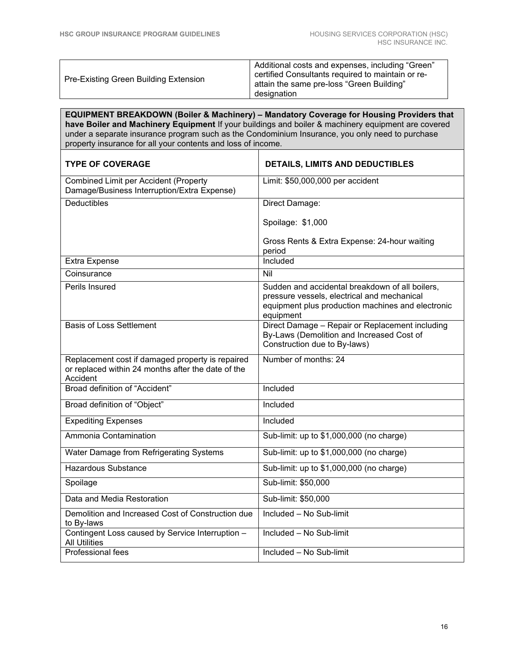| Additional costs and expenses, including "Green"<br>certified Consultants required to maintain or re-<br>Pre-Existing Green Building Extension<br>attain the same pre-loss "Green Building"<br>designation |
|------------------------------------------------------------------------------------------------------------------------------------------------------------------------------------------------------------|
|------------------------------------------------------------------------------------------------------------------------------------------------------------------------------------------------------------|

**EQUIPMENT BREAKDOWN (Boiler & Machinery) – Mandatory Coverage for Housing Providers that have Boiler and Machinery Equipment** If your buildings and boiler & machinery equipment are covered under a separate insurance program such as the Condominium Insurance, you only need to purchase property insurance for all your contents and loss of income.

| <b>TYPE OF COVERAGE</b>                                                                                            | <b>DETAILS, LIMITS AND DEDUCTIBLES</b>                                                                                                                           |
|--------------------------------------------------------------------------------------------------------------------|------------------------------------------------------------------------------------------------------------------------------------------------------------------|
| <b>Combined Limit per Accident (Property</b><br>Damage/Business Interruption/Extra Expense)                        | Limit: \$50,000,000 per accident                                                                                                                                 |
| <b>Deductibles</b>                                                                                                 | Direct Damage:                                                                                                                                                   |
|                                                                                                                    | Spoilage: \$1,000                                                                                                                                                |
|                                                                                                                    | Gross Rents & Extra Expense: 24-hour waiting<br>period                                                                                                           |
| <b>Extra Expense</b>                                                                                               | Included                                                                                                                                                         |
| Coinsurance                                                                                                        | Nil                                                                                                                                                              |
| Perils Insured                                                                                                     | Sudden and accidental breakdown of all boilers,<br>pressure vessels, electrical and mechanical<br>equipment plus production machines and electronic<br>equipment |
| <b>Basis of Loss Settlement</b>                                                                                    | Direct Damage - Repair or Replacement including<br>By-Laws (Demolition and Increased Cost of<br>Construction due to By-laws)                                     |
| Replacement cost if damaged property is repaired<br>or replaced within 24 months after the date of the<br>Accident | Number of months: 24                                                                                                                                             |
| Broad definition of "Accident"                                                                                     | Included                                                                                                                                                         |
| Broad definition of "Object"                                                                                       | Included                                                                                                                                                         |
| <b>Expediting Expenses</b>                                                                                         | Included                                                                                                                                                         |
| Ammonia Contamination                                                                                              | Sub-limit: up to \$1,000,000 (no charge)                                                                                                                         |
| Water Damage from Refrigerating Systems                                                                            | Sub-limit: up to \$1,000,000 (no charge)                                                                                                                         |
| <b>Hazardous Substance</b>                                                                                         | Sub-limit: up to \$1,000,000 (no charge)                                                                                                                         |
| Spoilage                                                                                                           | Sub-limit: \$50,000                                                                                                                                              |
| Data and Media Restoration                                                                                         | Sub-limit: \$50,000                                                                                                                                              |
| Demolition and Increased Cost of Construction due<br>to By-laws                                                    | Included - No Sub-limit                                                                                                                                          |
| Contingent Loss caused by Service Interruption -<br><b>All Utilities</b>                                           | Included - No Sub-limit                                                                                                                                          |
| <b>Professional fees</b>                                                                                           | Included $-$ No Sub-limit                                                                                                                                        |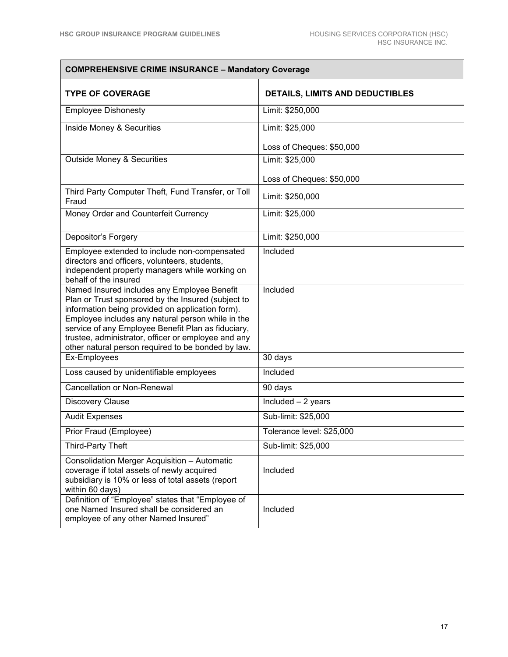| <b>COMPREHENSIVE CRIME INSURANCE - Mandatory Coverage</b>                                                                                                                                                                                                                                                                                                                     |                                 |  |  |
|-------------------------------------------------------------------------------------------------------------------------------------------------------------------------------------------------------------------------------------------------------------------------------------------------------------------------------------------------------------------------------|---------------------------------|--|--|
| <b>TYPE OF COVERAGE</b>                                                                                                                                                                                                                                                                                                                                                       | DETAILS, LIMITS AND DEDUCTIBLES |  |  |
| <b>Employee Dishonesty</b>                                                                                                                                                                                                                                                                                                                                                    | Limit: \$250,000                |  |  |
| Inside Money & Securities                                                                                                                                                                                                                                                                                                                                                     | Limit: \$25,000                 |  |  |
|                                                                                                                                                                                                                                                                                                                                                                               | Loss of Cheques: \$50,000       |  |  |
| <b>Outside Money &amp; Securities</b>                                                                                                                                                                                                                                                                                                                                         | Limit: \$25,000                 |  |  |
|                                                                                                                                                                                                                                                                                                                                                                               | Loss of Cheques: \$50,000       |  |  |
| Third Party Computer Theft, Fund Transfer, or Toll<br>Fraud                                                                                                                                                                                                                                                                                                                   | Limit: \$250,000                |  |  |
| Money Order and Counterfeit Currency                                                                                                                                                                                                                                                                                                                                          | Limit: \$25,000                 |  |  |
| Depositor's Forgery                                                                                                                                                                                                                                                                                                                                                           | Limit: \$250,000                |  |  |
| Employee extended to include non-compensated<br>directors and officers, volunteers, students,<br>independent property managers while working on<br>behalf of the insured                                                                                                                                                                                                      | Included                        |  |  |
| Named Insured includes any Employee Benefit<br>Plan or Trust sponsored by the Insured (subject to<br>information being provided on application form).<br>Employee includes any natural person while in the<br>service of any Employee Benefit Plan as fiduciary,<br>trustee, administrator, officer or employee and any<br>other natural person required to be bonded by law. | Included                        |  |  |
| Ex-Employees                                                                                                                                                                                                                                                                                                                                                                  | 30 days                         |  |  |
| Loss caused by unidentifiable employees                                                                                                                                                                                                                                                                                                                                       | Included                        |  |  |
| <b>Cancellation or Non-Renewal</b>                                                                                                                                                                                                                                                                                                                                            | 90 days                         |  |  |
| <b>Discovery Clause</b>                                                                                                                                                                                                                                                                                                                                                       | Included - 2 years              |  |  |
| <b>Audit Expenses</b>                                                                                                                                                                                                                                                                                                                                                         | Sub-limit: \$25,000             |  |  |
| Prior Fraud (Employee)                                                                                                                                                                                                                                                                                                                                                        | Tolerance level: \$25,000       |  |  |
| Third-Party Theft                                                                                                                                                                                                                                                                                                                                                             | Sub-limit: \$25,000             |  |  |
| Consolidation Merger Acquisition - Automatic<br>coverage if total assets of newly acquired<br>subsidiary is 10% or less of total assets (report<br>within 60 days)                                                                                                                                                                                                            | Included                        |  |  |
| Definition of "Employee" states that "Employee of<br>one Named Insured shall be considered an<br>employee of any other Named Insured"                                                                                                                                                                                                                                         | Included                        |  |  |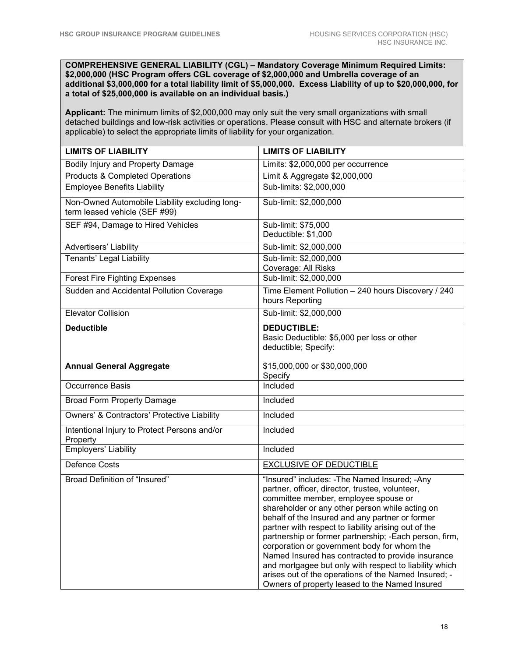**COMPREHENSIVE GENERAL LIABILITY (CGL) – Mandatory Coverage Minimum Required Limits: \$2,000,000 (HSC Program offers CGL coverage of \$2,000,000 and Umbrella coverage of an additional \$3,000,000 for a total liability limit of \$5,000,000. Excess Liability of up to \$20,000,000, for a total of \$25,000,000 is available on an individual basis.)** 

**Applicant:** The minimum limits of \$2,000,000 may only suit the very small organizations with small detached buildings and low-risk activities or operations. Please consult with HSC and alternate brokers (if applicable) to select the appropriate limits of liability for your organization.

| <b>LIMITS OF LIABILITY</b>                                                      | <b>LIMITS OF LIABILITY</b>                                                                                                                                                                                                                                                                                                                                                                                                                                                                                                                                                                                                              |
|---------------------------------------------------------------------------------|-----------------------------------------------------------------------------------------------------------------------------------------------------------------------------------------------------------------------------------------------------------------------------------------------------------------------------------------------------------------------------------------------------------------------------------------------------------------------------------------------------------------------------------------------------------------------------------------------------------------------------------------|
| Bodily Injury and Property Damage                                               | Limits: \$2,000,000 per occurrence                                                                                                                                                                                                                                                                                                                                                                                                                                                                                                                                                                                                      |
| <b>Products &amp; Completed Operations</b>                                      | Limit & Aggregate \$2,000,000                                                                                                                                                                                                                                                                                                                                                                                                                                                                                                                                                                                                           |
| <b>Employee Benefits Liability</b>                                              | Sub-limits: \$2,000,000                                                                                                                                                                                                                                                                                                                                                                                                                                                                                                                                                                                                                 |
| Non-Owned Automobile Liability excluding long-<br>term leased vehicle (SEF #99) | Sub-limit: \$2,000,000                                                                                                                                                                                                                                                                                                                                                                                                                                                                                                                                                                                                                  |
| SEF #94, Damage to Hired Vehicles                                               | Sub-limit: \$75,000<br>Deductible: \$1,000                                                                                                                                                                                                                                                                                                                                                                                                                                                                                                                                                                                              |
| Advertisers' Liability                                                          | Sub-limit: \$2,000,000                                                                                                                                                                                                                                                                                                                                                                                                                                                                                                                                                                                                                  |
| <b>Tenants' Legal Liability</b>                                                 | Sub-limit: \$2,000,000<br>Coverage: All Risks                                                                                                                                                                                                                                                                                                                                                                                                                                                                                                                                                                                           |
| <b>Forest Fire Fighting Expenses</b>                                            | Sub-limit: \$2,000,000                                                                                                                                                                                                                                                                                                                                                                                                                                                                                                                                                                                                                  |
| Sudden and Accidental Pollution Coverage                                        | Time Element Pollution - 240 hours Discovery / 240<br>hours Reporting                                                                                                                                                                                                                                                                                                                                                                                                                                                                                                                                                                   |
| <b>Elevator Collision</b>                                                       | Sub-limit: \$2,000,000                                                                                                                                                                                                                                                                                                                                                                                                                                                                                                                                                                                                                  |
| <b>Deductible</b>                                                               | <b>DEDUCTIBLE:</b><br>Basic Deductible: \$5,000 per loss or other<br>deductible; Specify:                                                                                                                                                                                                                                                                                                                                                                                                                                                                                                                                               |
| <b>Annual General Aggregate</b>                                                 | \$15,000,000 or \$30,000,000<br>Specify                                                                                                                                                                                                                                                                                                                                                                                                                                                                                                                                                                                                 |
| <b>Occurrence Basis</b>                                                         | Included                                                                                                                                                                                                                                                                                                                                                                                                                                                                                                                                                                                                                                |
| <b>Broad Form Property Damage</b>                                               | Included                                                                                                                                                                                                                                                                                                                                                                                                                                                                                                                                                                                                                                |
| Owners' & Contractors' Protective Liability                                     | Included                                                                                                                                                                                                                                                                                                                                                                                                                                                                                                                                                                                                                                |
| Intentional Injury to Protect Persons and/or<br>Property                        | Included                                                                                                                                                                                                                                                                                                                                                                                                                                                                                                                                                                                                                                |
| Employers' Liability                                                            | Included                                                                                                                                                                                                                                                                                                                                                                                                                                                                                                                                                                                                                                |
| <b>Defence Costs</b>                                                            | <b>EXCLUSIVE OF DEDUCTIBLE</b>                                                                                                                                                                                                                                                                                                                                                                                                                                                                                                                                                                                                          |
| <b>Broad Definition of "Insured"</b>                                            | "Insured" includes: -The Named Insured; -Any<br>partner, officer, director, trustee, volunteer,<br>committee member, employee spouse or<br>shareholder or any other person while acting on<br>behalf of the Insured and any partner or former<br>partner with respect to liability arising out of the<br>partnership or former partnership; -Each person, firm,<br>corporation or government body for whom the<br>Named Insured has contracted to provide insurance<br>and mortgagee but only with respect to liability which<br>arises out of the operations of the Named Insured; -<br>Owners of property leased to the Named Insured |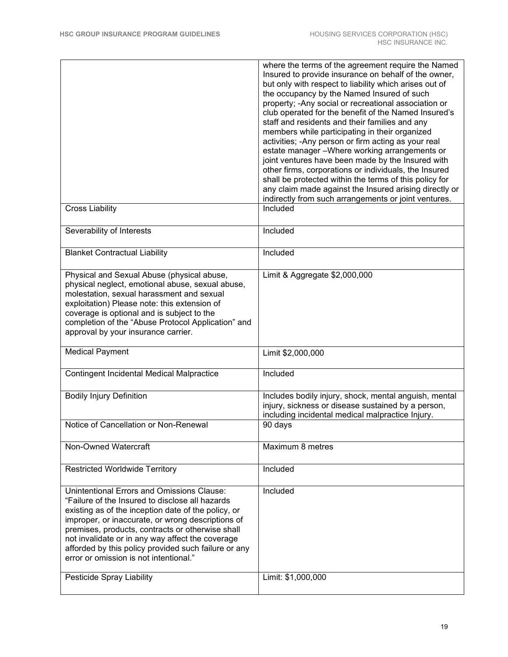| <b>Cross Liability</b>                                                                                                                                                                                                                                                                                                                                                                                                                                  | where the terms of the agreement require the Named<br>Insured to provide insurance on behalf of the owner,<br>but only with respect to liability which arises out of<br>the occupancy by the Named Insured of such<br>property; - Any social or recreational association or<br>club operated for the benefit of the Named Insured's<br>staff and residents and their families and any<br>members while participating in their organized<br>activities; - Any person or firm acting as your real<br>estate manager - Where working arrangements or<br>joint ventures have been made by the Insured with<br>other firms, corporations or individuals, the Insured<br>shall be protected within the terms of this policy for<br>any claim made against the Insured arising directly or<br>indirectly from such arrangements or joint ventures.<br>Included |
|---------------------------------------------------------------------------------------------------------------------------------------------------------------------------------------------------------------------------------------------------------------------------------------------------------------------------------------------------------------------------------------------------------------------------------------------------------|---------------------------------------------------------------------------------------------------------------------------------------------------------------------------------------------------------------------------------------------------------------------------------------------------------------------------------------------------------------------------------------------------------------------------------------------------------------------------------------------------------------------------------------------------------------------------------------------------------------------------------------------------------------------------------------------------------------------------------------------------------------------------------------------------------------------------------------------------------|
|                                                                                                                                                                                                                                                                                                                                                                                                                                                         |                                                                                                                                                                                                                                                                                                                                                                                                                                                                                                                                                                                                                                                                                                                                                                                                                                                         |
| Severability of Interests                                                                                                                                                                                                                                                                                                                                                                                                                               | Included                                                                                                                                                                                                                                                                                                                                                                                                                                                                                                                                                                                                                                                                                                                                                                                                                                                |
| <b>Blanket Contractual Liability</b>                                                                                                                                                                                                                                                                                                                                                                                                                    | Included                                                                                                                                                                                                                                                                                                                                                                                                                                                                                                                                                                                                                                                                                                                                                                                                                                                |
| Physical and Sexual Abuse (physical abuse,<br>physical neglect, emotional abuse, sexual abuse,<br>molestation, sexual harassment and sexual<br>exploitation) Please note: this extension of<br>coverage is optional and is subject to the<br>completion of the "Abuse Protocol Application" and<br>approval by your insurance carrier.                                                                                                                  | Limit & Aggregate \$2,000,000                                                                                                                                                                                                                                                                                                                                                                                                                                                                                                                                                                                                                                                                                                                                                                                                                           |
| <b>Medical Payment</b>                                                                                                                                                                                                                                                                                                                                                                                                                                  | Limit \$2,000,000                                                                                                                                                                                                                                                                                                                                                                                                                                                                                                                                                                                                                                                                                                                                                                                                                                       |
| <b>Contingent Incidental Medical Malpractice</b>                                                                                                                                                                                                                                                                                                                                                                                                        | Included                                                                                                                                                                                                                                                                                                                                                                                                                                                                                                                                                                                                                                                                                                                                                                                                                                                |
| <b>Bodily Injury Definition</b>                                                                                                                                                                                                                                                                                                                                                                                                                         | Includes bodily injury, shock, mental anguish, mental<br>injury, sickness or disease sustained by a person,<br>including incidental medical malpractice Injury.                                                                                                                                                                                                                                                                                                                                                                                                                                                                                                                                                                                                                                                                                         |
| Notice of Cancellation or Non-Renewal                                                                                                                                                                                                                                                                                                                                                                                                                   | 90 days                                                                                                                                                                                                                                                                                                                                                                                                                                                                                                                                                                                                                                                                                                                                                                                                                                                 |
| Non-Owned Watercraft                                                                                                                                                                                                                                                                                                                                                                                                                                    | Maximum 8 metres                                                                                                                                                                                                                                                                                                                                                                                                                                                                                                                                                                                                                                                                                                                                                                                                                                        |
| <b>Restricted Worldwide Territory</b>                                                                                                                                                                                                                                                                                                                                                                                                                   | Included                                                                                                                                                                                                                                                                                                                                                                                                                                                                                                                                                                                                                                                                                                                                                                                                                                                |
| <b>Unintentional Errors and Omissions Clause:</b><br>"Failure of the Insured to disclose all hazards<br>existing as of the inception date of the policy, or<br>improper, or inaccurate, or wrong descriptions of<br>premises, products, contracts or otherwise shall<br>not invalidate or in any way affect the coverage<br>afforded by this policy provided such failure or any<br>error or omission is not intentional."<br>Pesticide Spray Liability | Included<br>Limit: \$1,000,000                                                                                                                                                                                                                                                                                                                                                                                                                                                                                                                                                                                                                                                                                                                                                                                                                          |
|                                                                                                                                                                                                                                                                                                                                                                                                                                                         |                                                                                                                                                                                                                                                                                                                                                                                                                                                                                                                                                                                                                                                                                                                                                                                                                                                         |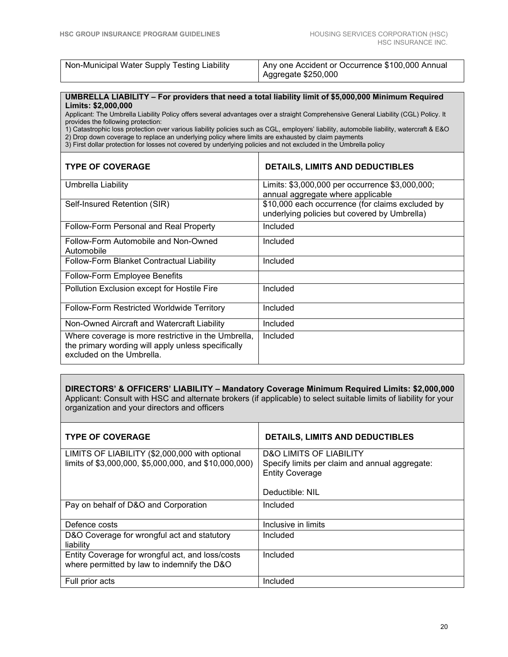| Non-Municipal Water Supply Testing Liability | Any one Accident or Occurrence \$100,000 Annual |
|----------------------------------------------|-------------------------------------------------|
|                                              | Aggregate \$250,000                             |

#### **UMBRELLA LIABILITY – For providers that need a total liability limit of \$5,000,000 Minimum Required Limits: \$2,000,000**

Applicant: The Umbrella Liability Policy offers several advantages over a straight Comprehensive General Liability (CGL) Policy. It provides the following protection:

1) Catastrophic loss protection over various liability policies such as CGL, employers' liability, automobile liability, watercraft & E&O 2) Drop down coverage to replace an underlying policy where limits are exhausted by claim payments

3) First dollar protection for losses not covered by underlying policies and not excluded in the Umbrella policy

| <b>TYPE OF COVERAGE</b>                                                                                                                | <b>DETAILS, LIMITS AND DEDUCTIBLES</b>                                                           |
|----------------------------------------------------------------------------------------------------------------------------------------|--------------------------------------------------------------------------------------------------|
| Umbrella Liability                                                                                                                     | Limits: \$3,000,000 per occurrence \$3,000,000;<br>annual aggregate where applicable             |
| Self-Insured Retention (SIR)                                                                                                           | \$10,000 each occurrence (for claims excluded by<br>underlying policies but covered by Umbrella) |
| Follow-Form Personal and Real Property                                                                                                 | Included                                                                                         |
| Follow-Form Automobile and Non-Owned<br>Automobile                                                                                     | Included                                                                                         |
| Follow-Form Blanket Contractual Liability                                                                                              | Included                                                                                         |
| Follow-Form Employee Benefits                                                                                                          |                                                                                                  |
| Pollution Exclusion except for Hostile Fire                                                                                            | Included                                                                                         |
| <b>Follow-Form Restricted Worldwide Territory</b>                                                                                      | Included                                                                                         |
| Non-Owned Aircraft and Watercraft Liability                                                                                            | Included                                                                                         |
| Where coverage is more restrictive in the Umbrella,<br>the primary wording will apply unless specifically<br>excluded on the Umbrella. | Included                                                                                         |

**DIRECTORS' & OFFICERS' LIABILITY – Mandatory Coverage Minimum Required Limits: \$2,000,000**  Applicant: Consult with HSC and alternate brokers (if applicable) to select suitable limits of liability for your organization and your directors and officers

| <b>TYPE OF COVERAGE</b>                                                                                 | <b>DETAILS, LIMITS AND DEDUCTIBLES</b>                                                                                            |
|---------------------------------------------------------------------------------------------------------|-----------------------------------------------------------------------------------------------------------------------------------|
| LIMITS OF LIABILITY (\$2,000,000 with optional<br>limits of \$3,000,000, \$5,000,000, and \$10,000,000) | <b>D&amp;O LIMITS OF LIABILITY</b><br>Specify limits per claim and annual aggregate:<br><b>Entity Coverage</b><br>Deductible: NIL |
| Pay on behalf of D&O and Corporation                                                                    | Included                                                                                                                          |
| Defence costs                                                                                           | Inclusive in limits                                                                                                               |
| D&O Coverage for wrongful act and statutory<br>liability                                                | Included                                                                                                                          |
| Entity Coverage for wrongful act, and loss/costs<br>where permitted by law to indemnify the D&O         | Included                                                                                                                          |
| Full prior acts                                                                                         | Included                                                                                                                          |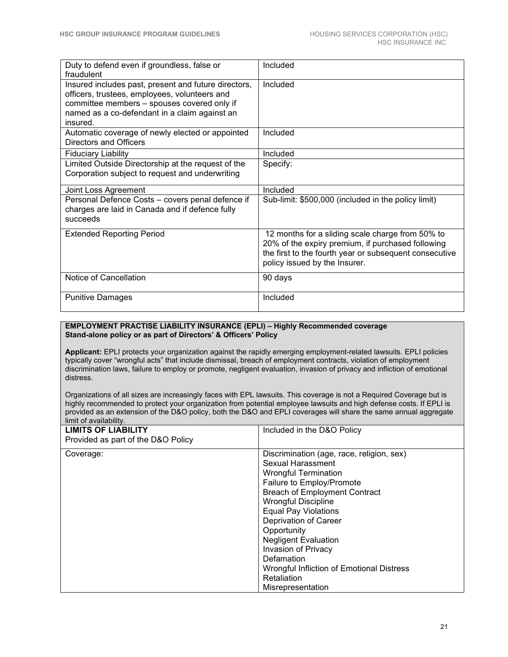| Duty to defend even if groundless, false or<br>fraudulent                                                                                                                                                         | Included                                                                                                                                                                                         |
|-------------------------------------------------------------------------------------------------------------------------------------------------------------------------------------------------------------------|--------------------------------------------------------------------------------------------------------------------------------------------------------------------------------------------------|
| Insured includes past, present and future directors,<br>officers, trustees, employees, volunteers and<br>committee members - spouses covered only if<br>named as a co-defendant in a claim against an<br>insured. | Included                                                                                                                                                                                         |
| Automatic coverage of newly elected or appointed<br>Directors and Officers                                                                                                                                        | Included                                                                                                                                                                                         |
| <b>Fiduciary Liability</b>                                                                                                                                                                                        | Included                                                                                                                                                                                         |
| Limited Outside Directorship at the request of the<br>Corporation subject to request and underwriting                                                                                                             | Specify:                                                                                                                                                                                         |
| Joint Loss Agreement                                                                                                                                                                                              | Included                                                                                                                                                                                         |
| Personal Defence Costs - covers penal defence if<br>charges are laid in Canada and if defence fully<br>succeeds                                                                                                   | Sub-limit: \$500,000 (included in the policy limit)                                                                                                                                              |
| <b>Extended Reporting Period</b>                                                                                                                                                                                  | 12 months for a sliding scale charge from 50% to<br>20% of the expiry premium, if purchased following<br>the first to the fourth year or subsequent consecutive<br>policy issued by the Insurer. |
| Notice of Cancellation                                                                                                                                                                                            | 90 days                                                                                                                                                                                          |
| <b>Punitive Damages</b>                                                                                                                                                                                           | Included                                                                                                                                                                                         |

#### **EMPLOYMENT PRACTISE LIABILITY INSURANCE (EPLI) – Highly Recommended coverage Stand-alone policy or as part of Directors' & Officers' Policy**

**Applicant:** EPLI protects your organization against the rapidly emerging employment-related lawsuits. EPLI policies typically cover "wrongful acts" that include dismissal, breach of employment contracts, violation of employment discrimination laws, failure to employ or promote, negligent evaluation, invasion of privacy and infliction of emotional distress.

Organizations of all sizes are increasingly faces with EPL lawsuits. This coverage is not a Required Coverage but is highly recommended to protect your organization from potential employee lawsuits and high defense costs. If EPLI is provided as an extension of the D&O policy, both the D&O and EPLI coverages will share the same annual aggregate limit of availability.

| <b>LIMITS OF LIABILITY</b><br>Provided as part of the D&O Policy | Included in the D&O Policy                |
|------------------------------------------------------------------|-------------------------------------------|
| Coverage:                                                        | Discrimination (age, race, religion, sex) |
|                                                                  | Sexual Harassment                         |
|                                                                  | <b>Wrongful Termination</b>               |
|                                                                  | Failure to Employ/Promote                 |
|                                                                  | <b>Breach of Employment Contract</b>      |
|                                                                  | <b>Wrongful Discipline</b>                |
|                                                                  | <b>Equal Pay Violations</b>               |
|                                                                  | Deprivation of Career                     |
|                                                                  | Opportunity                               |
|                                                                  | <b>Negligent Evaluation</b>               |
|                                                                  | Invasion of Privacy                       |
|                                                                  | Defamation                                |
|                                                                  | Wrongful Infliction of Emotional Distress |
|                                                                  | Retaliation                               |
|                                                                  | Misrepresentation                         |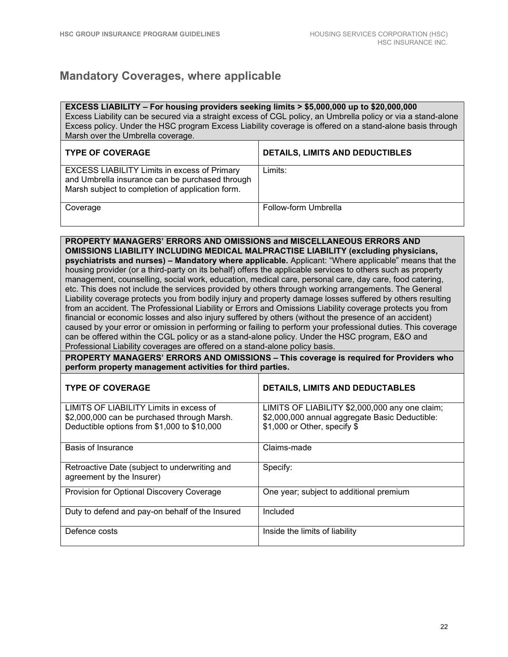## **Mandatory Coverages, where applicable**

| EXCESS LIABILITY - For housing providers seeking limits > \$5,000,000 up to \$20,000,000<br>Excess Liability can be secured via a straight excess of CGL policy, an Umbrella policy or via a stand-alone<br>Excess policy. Under the HSC program Excess Liability coverage is offered on a stand-alone basis through<br>Marsh over the Umbrella coverage.                                                                                                                                                                                                                                                                                                                                                                                                                                                                                                                                                                                                                                                                                                                                                                                                                                                                                                                                                                                                                                              |                                                                                                                                  |  |
|--------------------------------------------------------------------------------------------------------------------------------------------------------------------------------------------------------------------------------------------------------------------------------------------------------------------------------------------------------------------------------------------------------------------------------------------------------------------------------------------------------------------------------------------------------------------------------------------------------------------------------------------------------------------------------------------------------------------------------------------------------------------------------------------------------------------------------------------------------------------------------------------------------------------------------------------------------------------------------------------------------------------------------------------------------------------------------------------------------------------------------------------------------------------------------------------------------------------------------------------------------------------------------------------------------------------------------------------------------------------------------------------------------|----------------------------------------------------------------------------------------------------------------------------------|--|
| <b>TYPE OF COVERAGE</b>                                                                                                                                                                                                                                                                                                                                                                                                                                                                                                                                                                                                                                                                                                                                                                                                                                                                                                                                                                                                                                                                                                                                                                                                                                                                                                                                                                                | DETAILS, LIMITS AND DEDUCTIBLES                                                                                                  |  |
| <b>EXCESS LIABILITY Limits in excess of Primary</b><br>and Umbrella insurance can be purchased through<br>Marsh subject to completion of application form.                                                                                                                                                                                                                                                                                                                                                                                                                                                                                                                                                                                                                                                                                                                                                                                                                                                                                                                                                                                                                                                                                                                                                                                                                                             | Limits:                                                                                                                          |  |
| Coverage                                                                                                                                                                                                                                                                                                                                                                                                                                                                                                                                                                                                                                                                                                                                                                                                                                                                                                                                                                                                                                                                                                                                                                                                                                                                                                                                                                                               | Follow-form Umbrella                                                                                                             |  |
| PROPERTY MANAGERS' ERRORS AND OMISSIONS and MISCELLANEOUS ERRORS AND<br><b>OMISSIONS LIABILITY INCLUDING MEDICAL MALPRACTISE LIABILITY (excluding physicians,</b><br>psychiatrists and nurses) - Mandatory where applicable. Applicant: "Where applicable" means that the<br>housing provider (or a third-party on its behalf) offers the applicable services to others such as property<br>management, counselling, social work, education, medical care, personal care, day care, food catering,<br>etc. This does not include the services provided by others through working arrangements. The General<br>Liability coverage protects you from bodily injury and property damage losses suffered by others resulting<br>from an accident. The Professional Liability or Errors and Omissions Liability coverage protects you from<br>financial or economic losses and also injury suffered by others (without the presence of an accident)<br>caused by your error or omission in performing or failing to perform your professional duties. This coverage<br>can be offered within the CGL policy or as a stand-alone policy. Under the HSC program, E&O and<br>Professional Liability coverages are offered on a stand-alone policy basis.<br>PROPERTY MANAGERS' ERRORS AND OMISSIONS - This coverage is required for Providers who<br>perform property management activities for third parties. |                                                                                                                                  |  |
| <b>TYPE OF COVERAGE</b>                                                                                                                                                                                                                                                                                                                                                                                                                                                                                                                                                                                                                                                                                                                                                                                                                                                                                                                                                                                                                                                                                                                                                                                                                                                                                                                                                                                | <b>DETAILS, LIMITS AND DEDUCTABLES</b>                                                                                           |  |
| LIMITS OF LIABILITY Limits in excess of<br>\$2,000,000 can be purchased through Marsh.<br>Deductible options from \$1,000 to \$10,000                                                                                                                                                                                                                                                                                                                                                                                                                                                                                                                                                                                                                                                                                                                                                                                                                                                                                                                                                                                                                                                                                                                                                                                                                                                                  | LIMITS OF LIABILITY \$2,000,000 any one claim;<br>\$2,000,000 annual aggregate Basic Deductible:<br>\$1,000 or Other, specify \$ |  |
| <b>Basis of Insurance</b>                                                                                                                                                                                                                                                                                                                                                                                                                                                                                                                                                                                                                                                                                                                                                                                                                                                                                                                                                                                                                                                                                                                                                                                                                                                                                                                                                                              | Claims-made                                                                                                                      |  |

| Retroactive Date (subject to underwriting and<br>agreement by the Insurer) | Specify:                                |
|----------------------------------------------------------------------------|-----------------------------------------|
| Provision for Optional Discovery Coverage                                  | One year; subject to additional premium |
| Duty to defend and pay-on behalf of the Insured                            | Included                                |
| Defence costs                                                              | Inside the limits of liability          |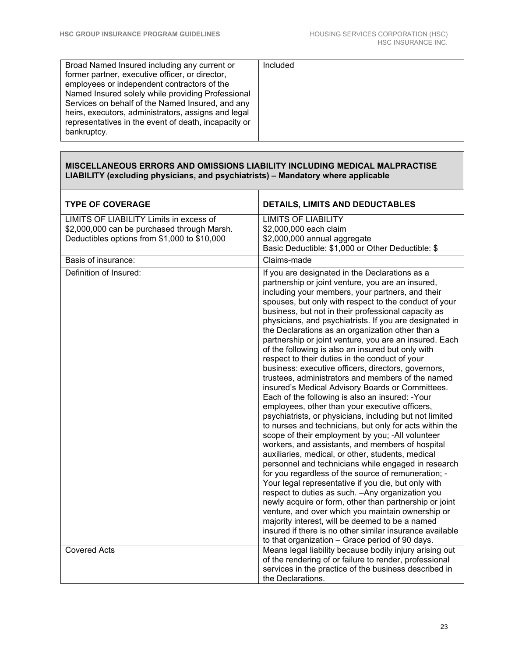| Broad Named Insured including any current or         | Included |
|------------------------------------------------------|----------|
| former partner, executive officer, or director,      |          |
| employees or independent contractors of the          |          |
| Named Insured solely while providing Professional    |          |
| Services on behalf of the Named Insured, and any     |          |
| heirs, executors, administrators, assigns and legal  |          |
| representatives in the event of death, incapacity or |          |
| bankruptcy.                                          |          |
|                                                      |          |

#### **MISCELLANEOUS ERRORS AND OMISSIONS LIABILITY INCLUDING MEDICAL MALPRACTISE LIABILITY (excluding physicians, and psychiatrists) – Mandatory where applicable**

| <b>TYPE OF COVERAGE</b>                                                                                                                | <b>DETAILS, LIMITS AND DEDUCTABLES</b>                                                                                                                                                                                                                                                                                                                                                                                                                                                                                                                                                                                                                                                                                                                                                                                                                                                                                                                                                                                                                                                                                                                                                                                                                                                                                                                                                                                                                                                                                                                                                                                     |
|----------------------------------------------------------------------------------------------------------------------------------------|----------------------------------------------------------------------------------------------------------------------------------------------------------------------------------------------------------------------------------------------------------------------------------------------------------------------------------------------------------------------------------------------------------------------------------------------------------------------------------------------------------------------------------------------------------------------------------------------------------------------------------------------------------------------------------------------------------------------------------------------------------------------------------------------------------------------------------------------------------------------------------------------------------------------------------------------------------------------------------------------------------------------------------------------------------------------------------------------------------------------------------------------------------------------------------------------------------------------------------------------------------------------------------------------------------------------------------------------------------------------------------------------------------------------------------------------------------------------------------------------------------------------------------------------------------------------------------------------------------------------------|
| LIMITS OF LIABILITY Limits in excess of<br>\$2,000,000 can be purchased through Marsh.<br>Deductibles options from \$1,000 to \$10,000 | <b>LIMITS OF LIABILITY</b><br>\$2,000,000 each claim<br>\$2,000,000 annual aggregate<br>Basic Deductible: \$1,000 or Other Deductible: \$                                                                                                                                                                                                                                                                                                                                                                                                                                                                                                                                                                                                                                                                                                                                                                                                                                                                                                                                                                                                                                                                                                                                                                                                                                                                                                                                                                                                                                                                                  |
| Basis of insurance:                                                                                                                    | Claims-made                                                                                                                                                                                                                                                                                                                                                                                                                                                                                                                                                                                                                                                                                                                                                                                                                                                                                                                                                                                                                                                                                                                                                                                                                                                                                                                                                                                                                                                                                                                                                                                                                |
| Definition of Insured:                                                                                                                 | If you are designated in the Declarations as a<br>partnership or joint venture, you are an insured,<br>including your members, your partners, and their<br>spouses, but only with respect to the conduct of your<br>business, but not in their professional capacity as<br>physicians, and psychiatrists. If you are designated in<br>the Declarations as an organization other than a<br>partnership or joint venture, you are an insured. Each<br>of the following is also an insured but only with<br>respect to their duties in the conduct of your<br>business: executive officers, directors, governors,<br>trustees, administrators and members of the named<br>insured's Medical Advisory Boards or Committees.<br>Each of the following is also an insured: -Your<br>employees, other than your executive officers,<br>psychiatrists, or physicians, including but not limited<br>to nurses and technicians, but only for acts within the<br>scope of their employment by you; -All volunteer<br>workers, and assistants, and members of hospital<br>auxiliaries, medical, or other, students, medical<br>personnel and technicians while engaged in research<br>for you regardless of the source of remuneration; -<br>Your legal representative if you die, but only with<br>respect to duties as such. - Any organization you<br>newly acquire or form, other than partnership or joint<br>venture, and over which you maintain ownership or<br>majority interest, will be deemed to be a named<br>insured if there is no other similar insurance available<br>to that organization - Grace period of 90 days. |
| <b>Covered Acts</b>                                                                                                                    | Means legal liability because bodily injury arising out<br>of the rendering of or failure to render, professional<br>services in the practice of the business described in<br>the Declarations.                                                                                                                                                                                                                                                                                                                                                                                                                                                                                                                                                                                                                                                                                                                                                                                                                                                                                                                                                                                                                                                                                                                                                                                                                                                                                                                                                                                                                            |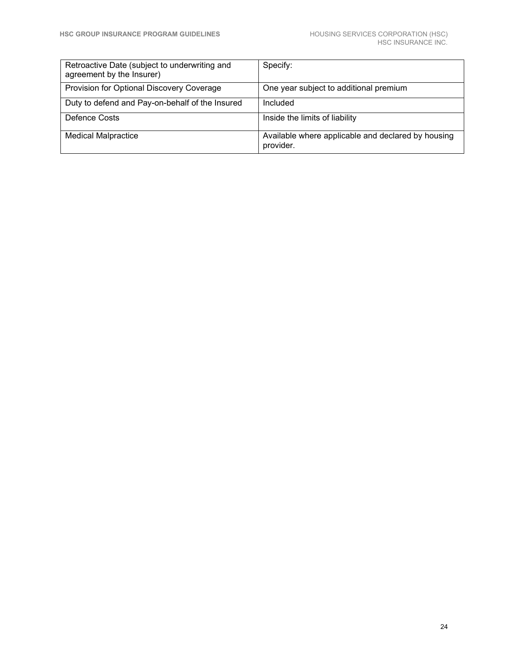| Retroactive Date (subject to underwriting and<br>agreement by the Insurer) | Specify:                                                        |
|----------------------------------------------------------------------------|-----------------------------------------------------------------|
| Provision for Optional Discovery Coverage                                  | One year subject to additional premium                          |
| Duty to defend and Pay-on-behalf of the Insured                            | Included                                                        |
| Defence Costs                                                              | Inside the limits of liability                                  |
| <b>Medical Malpractice</b>                                                 | Available where applicable and declared by housing<br>provider. |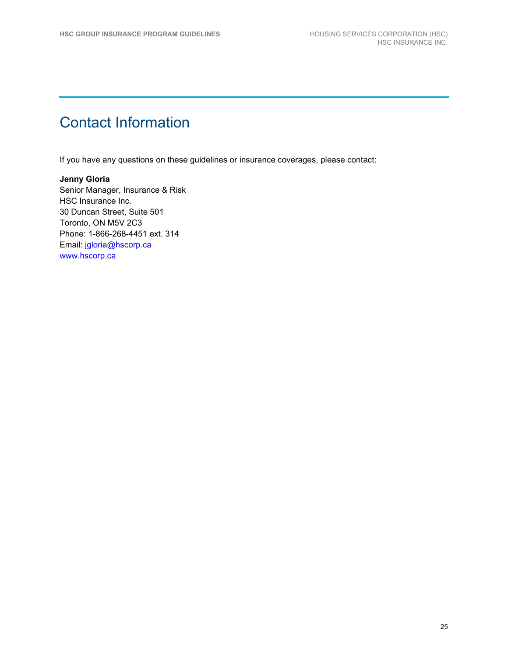## Contact Information

If you have any questions on these guidelines or insurance coverages, please contact:

#### **Jenny Gloria** Senior Manager, Insurance & Risk HSC Insurance Inc. 30 Duncan Street, Suite 501 Toronto, ON M5V 2C3 Phone: 1-866-268-4451 ext. 314 Email: [jgloria@hscorp.ca](mailto:jgloria@hscorp.ca) [www.hscorp.ca](http://www.hscorp.ca/)